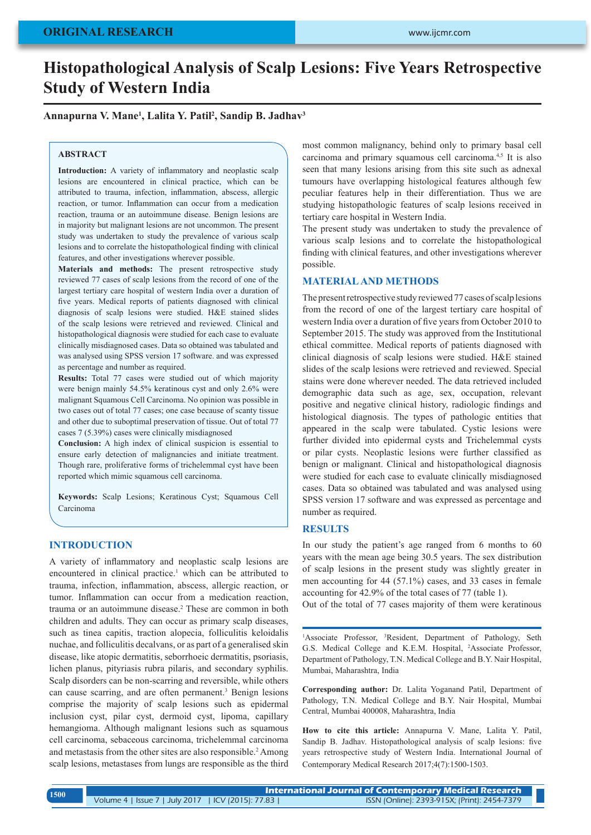# **Histopathological Analysis of Scalp Lesions: Five Years Retrospective Study of Western India**

## **Annapurna V. Mane1 , Lalita Y. Patil2 , Sandip B. Jadhav3**

### **ABSTRACT**

**Introduction:** A variety of inflammatory and neoplastic scalp lesions are encountered in clinical practice, which can be attributed to trauma, infection, inflammation, abscess, allergic reaction, or tumor. Inflammation can occur from a medication reaction, trauma or an autoimmune disease. Benign lesions are in majority but malignant lesions are not uncommon. The present study was undertaken to study the prevalence of various scalp lesions and to correlate the histopathological finding with clinical features, and other investigations wherever possible.

**Materials and methods:** The present retrospective study reviewed 77 cases of scalp lesions from the record of one of the largest tertiary care hospital of western India over a duration of five years. Medical reports of patients diagnosed with clinical diagnosis of scalp lesions were studied. H&E stained slides of the scalp lesions were retrieved and reviewed. Clinical and histopathological diagnosis were studied for each case to evaluate clinically misdiagnosed cases. Data so obtained was tabulated and was analysed using SPSS version 17 software. and was expressed as percentage and number as required.

**Results:** Total 77 cases were studied out of which majority were benign mainly 54.5% keratinous cyst and only 2.6% were malignant Squamous Cell Carcinoma. No opinion was possible in two cases out of total 77 cases; one case because of scanty tissue and other due to suboptimal preservation of tissue. Out of total 77 cases 7 (5.39%) cases were clinically misdiagnosed

**Conclusion:** A high index of clinical suspicion is essential to ensure early detection of malignancies and initiate treatment. Though rare, proliferative forms of trichelemmal cyst have been reported which mimic squamous cell carcinoma.

**Keywords:** Scalp Lesions; Keratinous Cyst; Squamous Cell Carcinoma

## **INTRODUCTION**

A variety of inflammatory and neoplastic scalp lesions are encountered in clinical practice.<sup>1</sup> which can be attributed to trauma, infection, inflammation, abscess, allergic reaction, or tumor. Inflammation can occur from a medication reaction, trauma or an autoimmune disease.<sup>2</sup> These are common in both children and adults. They can occur as primary scalp diseases, such as tinea capitis, traction alopecia, folliculitis keloidalis nuchae, and folliculitis decalvans, or as part of a generalised skin disease, like atopic dermatitis, seborrhoeic dermatitis, psoriasis, lichen planus, pityriasis rubra pilaris, and secondary syphilis. Scalp disorders can be non-scarring and reversible, while others can cause scarring, and are often permanent.<sup>3</sup> Benign lesions comprise the majority of scalp lesions such as epidermal inclusion cyst, pilar cyst, dermoid cyst, lipoma, capillary hemangioma. Although malignant lesions such as squamous cell carcinoma, sebaceous carcinoma, trichelemmal carcinoma and metastasis from the other sites are also responsible.<sup>2</sup> Among scalp lesions, metastases from lungs are responsible as the third

most common malignancy, behind only to primary basal cell carcinoma and primary squamous cell carcinoma.4,5 It is also seen that many lesions arising from this site such as adnexal tumours have overlapping histological features although few peculiar features help in their differentiation. Thus we are studying histopathologic features of scalp lesions received in tertiary care hospital in Western India.

The present study was undertaken to study the prevalence of various scalp lesions and to correlate the histopathological finding with clinical features, and other investigations wherever possible.

## **MATERIAL AND METHODS**

The present retrospective study reviewed 77 cases of scalp lesions from the record of one of the largest tertiary care hospital of western India over a duration of five years from October 2010 to September 2015. The study was approved from the Institutional ethical committee. Medical reports of patients diagnosed with clinical diagnosis of scalp lesions were studied. H&E stained slides of the scalp lesions were retrieved and reviewed. Special stains were done wherever needed. The data retrieved included demographic data such as age, sex, occupation, relevant positive and negative clinical history, radiologic findings and histological diagnosis. The types of pathologic entities that appeared in the scalp were tabulated. Cystic lesions were further divided into epidermal cysts and Trichelemmal cysts or pilar cysts. Neoplastic lesions were further classified as benign or malignant. Clinical and histopathological diagnosis were studied for each case to evaluate clinically misdiagnosed cases. Data so obtained was tabulated and was analysed using SPSS version 17 software and was expressed as percentage and number as required.

## **RESULTS**

In our study the patient's age ranged from 6 months to 60 years with the mean age being 30.5 years. The sex distribution of scalp lesions in the present study was slightly greater in men accounting for 44 (57.1%) cases, and 33 cases in female accounting for 42.9% of the total cases of 77 (table 1).

Out of the total of 77 cases majority of them were keratinous

<sup>1</sup>Associate Professor, <sup>3</sup>Resident, Department of Pathology, Seth G.S. Medical College and K.E.M. Hospital, 2 Associate Professor, Department of Pathology, T.N. Medical College and B.Y. Nair Hospital, Mumbai, Maharashtra, India

**Corresponding author:** Dr. Lalita Yoganand Patil, Department of Pathology, T.N. Medical College and B.Y. Nair Hospital, Mumbai Central, Mumbai 400008, Maharashtra, India

**How to cite this article:** Annapurna V. Mane, Lalita Y. Patil, Sandip B. Jadhav. Histopathological analysis of scalp lesions: five years retrospective study of Western India. International Journal of Contemporary Medical Research 2017;4(7):1500-1503.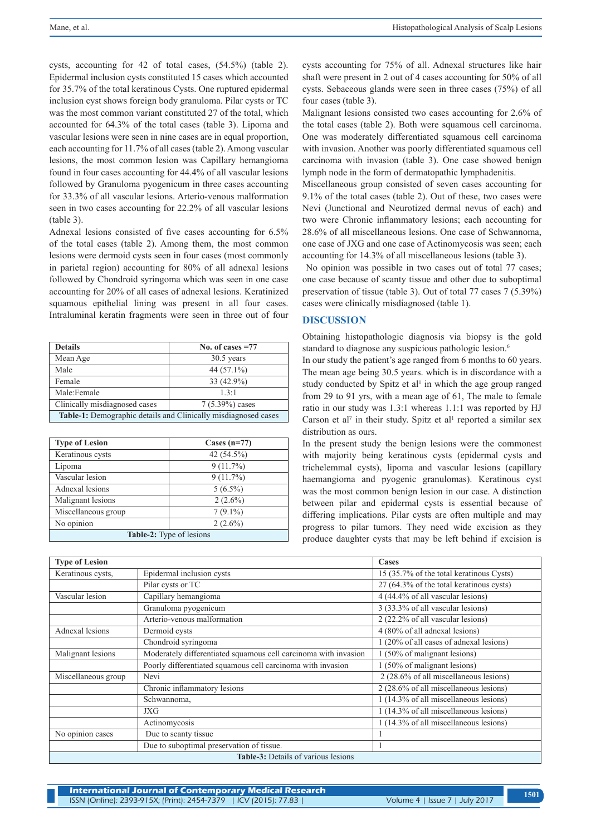cysts, accounting for 42 of total cases, (54.5%) (table 2). Epidermal inclusion cysts constituted 15 cases which accounted for 35.7% of the total keratinous Cysts. One ruptured epidermal inclusion cyst shows foreign body granuloma. Pilar cysts or TC was the most common variant constituted 27 of the total, which accounted for 64.3% of the total cases (table 3). Lipoma and vascular lesions were seen in nine cases are in equal proportion, each accounting for 11.7% of all cases (table 2). Among vascular lesions, the most common lesion was Capillary hemangioma found in four cases accounting for 44.4% of all vascular lesions followed by Granuloma pyogenicum in three cases accounting for 33.3% of all vascular lesions. Arterio-venous malformation seen in two cases accounting for 22.2% of all vascular lesions (table 3).

Adnexal lesions consisted of five cases accounting for 6.5% of the total cases (table 2). Among them, the most common lesions were dermoid cysts seen in four cases (most commonly in parietal region) accounting for 80% of all adnexal lesions followed by Chondroid syringoma which was seen in one case accounting for 20% of all cases of adnexal lesions. Keratinized squamous epithelial lining was present in all four cases. Intraluminal keratin fragments were seen in three out of four

| <b>Details</b>                                                        | No. of cases $=77$ |  |
|-----------------------------------------------------------------------|--------------------|--|
| Mean Age                                                              | $30.5$ years       |  |
| Male                                                                  | 44 (57.1%)         |  |
| Female                                                                | 33 (42.9%)         |  |
| Male:Female                                                           | 13.1               |  |
| Clinically misdiagnosed cases                                         | $7(5.39\%)$ cases  |  |
| <b>Table-1:</b> Demographic details and Clinically misdiagnosed cases |                    |  |

| <b>Type of Lesion</b>           | Cases $(n=77)$ |  |
|---------------------------------|----------------|--|
| Keratinous cysts                | 42 (54.5%)     |  |
| Lipoma                          | $9(11.7\%)$    |  |
| Vascular lesion                 | $9(11.7\%)$    |  |
| Adnexal lesions                 | $5(6.5\%)$     |  |
| Malignant lesions               | $2(2.6\%)$     |  |
| Miscellaneous group             | $7(9.1\%)$     |  |
| No opinion                      | $2(2.6\%)$     |  |
| <b>Table-2:</b> Type of lesions |                |  |

cysts accounting for 75% of all. Adnexal structures like hair shaft were present in 2 out of 4 cases accounting for 50% of all cysts. Sebaceous glands were seen in three cases (75%) of all four cases (table 3).

Malignant lesions consisted two cases accounting for 2.6% of the total cases (table 2). Both were squamous cell carcinoma. One was moderately differentiated squamous cell carcinoma with invasion. Another was poorly differentiated squamous cell carcinoma with invasion (table 3). One case showed benign lymph node in the form of dermatopathic lymphadenitis.

Miscellaneous group consisted of seven cases accounting for 9.1% of the total cases (table 2). Out of these, two cases were Nevi (Junctional and Neurotized dermal nevus of each) and two were Chronic inflammatory lesions; each accounting for 28.6% of all miscellaneous lesions. One case of Schwannoma, one case of JXG and one case of Actinomycosis was seen; each accounting for 14.3% of all miscellaneous lesions (table 3).

 No opinion was possible in two cases out of total 77 cases; one case because of scanty tissue and other due to suboptimal preservation of tissue (table 3). Out of total 77 cases 7 (5.39%) cases were clinically misdiagnosed (table 1).

## **DISCUSSION**

Obtaining histopathologic diagnosis via biopsy is the gold standard to diagnose any suspicious pathologic lesion.<sup>6</sup>

In our study the patient's age ranged from 6 months to 60 years. The mean age being 30.5 years. which is in discordance with a study conducted by Spitz et al<sup>1</sup> in which the age group ranged from 29 to 91 yrs, with a mean age of 61, The male to female ratio in our study was 1.3:1 whereas 1.1:1 was reported by HJ Carson et al<sup>7</sup> in their study. Spitz et al<sup>1</sup> reported a similar sex distribution as ours.

In the present study the benign lesions were the commonest with majority being keratinous cysts (epidermal cysts and trichelemmal cysts), lipoma and vascular lesions (capillary haemangioma and pyogenic granulomas). Keratinous cyst was the most common benign lesion in our case. A distinction between pilar and epidermal cysts is essential because of differing implications. Pilar cysts are often multiple and may progress to pilar tumors. They need wide excision as they produce daughter cysts that may be left behind if excision is

| <b>Type of Lesion</b>                      |                                                                 | Cases                                    |
|--------------------------------------------|-----------------------------------------------------------------|------------------------------------------|
| Keratinous cysts,                          | Epidermal inclusion cysts                                       | 15 (35.7% of the total keratinous Cysts) |
|                                            | Pilar cysts or TC                                               | 27 (64.3% of the total keratinous cysts) |
| Vascular lesion                            | Capillary hemangioma                                            | 4 (44.4% of all vascular lesions)        |
|                                            | Granuloma pyogenicum                                            | 3 (33.3% of all vascular lesions)        |
|                                            | Arterio-venous malformation                                     | 2 (22.2% of all vascular lesions)        |
| Adnexal lesions                            | Dermoid cysts                                                   | 4 (80% of all adnexal lesions)           |
|                                            | Chondroid syringoma                                             | 1 (20% of all cases of adnexal lesions)  |
| Malignant lesions                          | Moderately differentiated squamous cell carcinoma with invasion | 1 (50% of malignant lesions)             |
|                                            | Poorly differentiated squamous cell carcinoma with invasion     | 1 (50% of malignant lesions)             |
| Miscellaneous group                        | Nevi                                                            | 2 (28.6% of all miscellaneous lesions)   |
|                                            | Chronic inflammatory lesions                                    | 2 (28.6% of all miscellaneous lesions)   |
|                                            | Schwannoma,                                                     | 1 (14.3% of all miscellaneous lesions)   |
|                                            | JXG                                                             | 1 (14.3% of all miscellaneous lesions)   |
|                                            | Actinomycosis                                                   | 1 (14.3% of all miscellaneous lesions)   |
| No opinion cases                           | Due to scanty tissue                                            |                                          |
|                                            | Due to suboptimal preservation of tissue.                       |                                          |
| <b>Table-3:</b> Details of various lesions |                                                                 |                                          |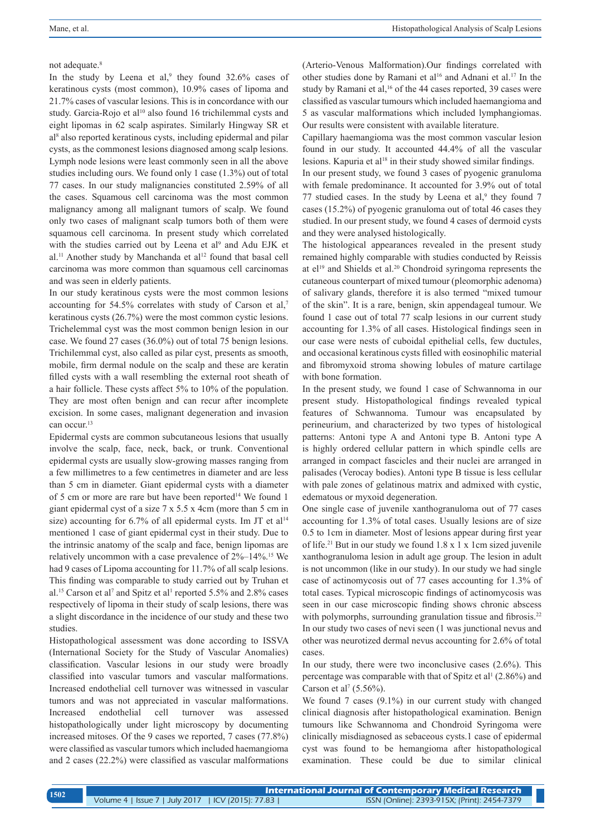#### not adequate.<sup>8</sup>

In the study by Leena et al,<sup>9</sup> they found  $32.6\%$  cases of keratinous cysts (most common), 10.9% cases of lipoma and 21.7% cases of vascular lesions. This is in concordance with our study. Garcia-Rojo et al<sup>10</sup> also found 16 trichilemmal cysts and eight lipomas in 62 scalp aspirates. Similarly Hingway SR et al8 also reported keratinous cysts, including epidermal and pilar cysts, as the commonest lesions diagnosed among scalp lesions. Lymph node lesions were least commonly seen in all the above studies including ours. We found only 1 case (1.3%) out of total 77 cases. In our study malignancies constituted 2.59% of all the cases. Squamous cell carcinoma was the most common malignancy among all malignant tumors of scalp. We found only two cases of malignant scalp tumors both of them were squamous cell carcinoma. In present study which correlated with the studies carried out by Leena et al<sup>9</sup> and Adu EJK et al.<sup>11</sup> Another study by Manchanda et al<sup>12</sup> found that basal cell carcinoma was more common than squamous cell carcinomas and was seen in elderly patients.

In our study keratinous cysts were the most common lesions accounting for 54.5% correlates with study of Carson et al,7 keratinous cysts (26.7%) were the most common cystic lesions. Trichelemmal cyst was the most common benign lesion in our case. We found 27 cases (36.0%) out of total 75 benign lesions. Trichilemmal cyst, also called as pilar cyst, presents as smooth, mobile, firm dermal nodule on the scalp and these are keratin filled cysts with a wall resembling the external root sheath of a hair follicle. These cysts affect 5% to 10% of the population. They are most often benign and can recur after incomplete excision. In some cases, malignant degeneration and invasion can occur.<sup>13</sup>

Epidermal cysts are common subcutaneous lesions that usually involve the scalp, face, neck, back, or trunk. Conventional epidermal cysts are usually slow-growing masses ranging from a few millimetres to a few centimetres in diameter and are less than 5 cm in diameter. Giant epidermal cysts with a diameter of 5 cm or more are rare but have been reported<sup>14</sup> We found 1 giant epidermal cyst of a size 7 x 5.5 x 4cm (more than 5 cm in size) accounting for 6.7% of all epidermal cysts. Im JT et al<sup>14</sup> mentioned 1 case of giant epidermal cyst in their study. Due to the intrinsic anatomy of the scalp and face, benign lipomas are relatively uncommon with a case prevalence of 2%–14%.15 We had 9 cases of Lipoma accounting for 11.7% of all scalp lesions. This finding was comparable to study carried out by Truhan et al.<sup>15</sup> Carson et al<sup>7</sup> and Spitz et al<sup>1</sup> reported 5.5% and 2.8% cases respectively of lipoma in their study of scalp lesions, there was a slight discordance in the incidence of our study and these two studies.

Histopathological assessment was done according to ISSVA (International Society for the Study of Vascular Anomalies) classification. Vascular lesions in our study were broadly classified into vascular tumors and vascular malformations. Increased endothelial cell turnover was witnessed in vascular tumors and was not appreciated in vascular malformations. Increased endothelial cell turnover was assessed histopathologically under light microscopy by documenting increased mitoses. Of the 9 cases we reported, 7 cases (77.8%) were classified as vascular tumors which included haemangioma and 2 cases (22.2%) were classified as vascular malformations (Arterio-Venous Malformation).Our findings correlated with other studies done by Ramani et al<sup>16</sup> and Adnani et al.<sup>17</sup> In the study by Ramani et al,<sup>16</sup> of the 44 cases reported, 39 cases were classified as vascular tumours which included haemangioma and 5 as vascular malformations which included lymphangiomas. Our results were consistent with available literature.

Capillary haemangioma was the most common vascular lesion found in our study. It accounted 44.4% of all the vascular lesions. Kapuria et  $al^{18}$  in their study showed similar findings.

In our present study, we found 3 cases of pyogenic granuloma with female predominance. It accounted for 3.9% out of total 77 studied cases. In the study by Leena et al, $9$  they found 7 cases (15.2%) of pyogenic granuloma out of total 46 cases they studied. In our present study, we found 4 cases of dermoid cysts and they were analysed histologically.

The histological appearances revealed in the present study remained highly comparable with studies conducted by Reissis at el<sup>19</sup> and Shields et al.<sup>20</sup> Chondroid syringoma represents the cutaneous counterpart of mixed tumour (pleomorphic adenoma) of salivary glands, therefore it is also termed "mixed tumour of the skin". It is a rare, benign, skin appendageal tumour. We found 1 case out of total 77 scalp lesions in our current study accounting for 1.3% of all cases. Histological findings seen in our case were nests of cuboidal epithelial cells, few ductules, and occasional keratinous cysts filled with eosinophilic material and fibromyxoid stroma showing lobules of mature cartilage with bone formation.

In the present study, we found 1 case of Schwannoma in our present study. Histopathological findings revealed typical features of Schwannoma. Tumour was encapsulated by perineurium, and characterized by two types of histological patterns: Antoni type A and Antoni type B. Antoni type A is highly ordered cellular pattern in which spindle cells are arranged in compact fascicles and their nuclei are arranged in palisades (Verocay bodies). Antoni type B tissue is less cellular with pale zones of gelatinous matrix and admixed with cystic, edematous or myxoid degeneration.

One single case of juvenile xanthogranuloma out of 77 cases accounting for 1.3% of total cases. Usually lesions are of size 0.5 to 1cm in diameter. Most of lesions appear during first year of life.21 But in our study we found 1.8 x 1 x 1cm sized juvenile xanthogranuloma lesion in adult age group. The lesion in adult is not uncommon (like in our study). In our study we had single case of actinomycosis out of 77 cases accounting for 1.3% of total cases. Typical microscopic findings of actinomycosis was seen in our case microscopic finding shows chronic abscess with polymorphs, surrounding granulation tissue and fibrosis.<sup>22</sup> In our study two cases of nevi seen (1 was junctional nevus and other was neurotized dermal nevus accounting for 2.6% of total cases.

In our study, there were two inconclusive cases  $(2.6\%)$ . This percentage was comparable with that of Spitz et al<sup>1</sup> (2.86%) and Carson et al<sup>7</sup> (5.56%).

We found 7 cases (9.1%) in our current study with changed clinical diagnosis after histopathological examination. Benign tumours like Schwannoma and Chondroid Syringoma were clinically misdiagnosed as sebaceous cysts.1 case of epidermal cyst was found to be hemangioma after histopathological examination. These could be due to similar clinical